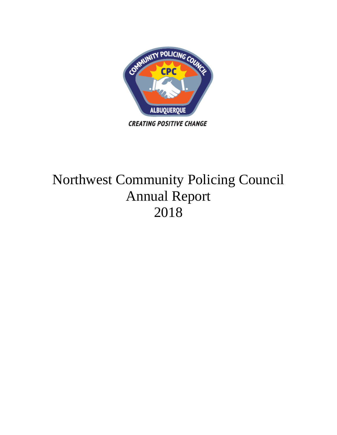

# Northwest Community Policing Council Annual Report 2018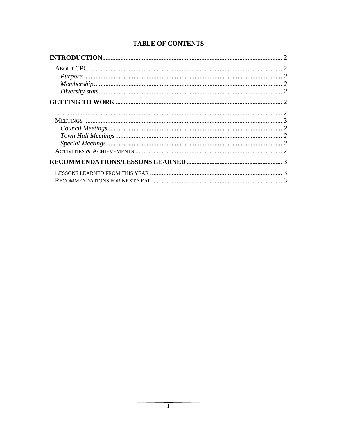# **TABLE OF CONTENTS**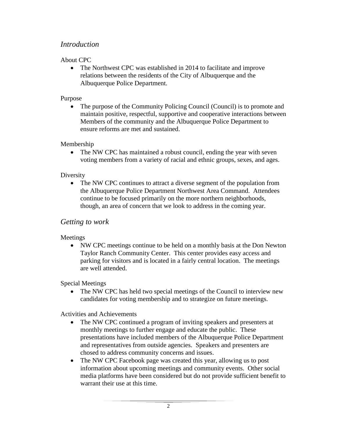# *Introduction*

#### About CPC

• The Northwest CPC was established in 2014 to facilitate and improve relations between the residents of the City of Albuquerque and the Albuquerque Police Department.

#### Purpose

• The purpose of the Community Policing Council (Council) is to promote and maintain positive, respectful, supportive and cooperative interactions between Members of the community and the Albuquerque Police Department to ensure reforms are met and sustained.

#### Membership

• The NW CPC has maintained a robust council, ending the year with seven voting members from a variety of racial and ethnic groups, sexes, and ages.

#### Diversity

• The NW CPC continues to attract a diverse segment of the population from the Albuquerque Police Department Northwest Area Command. Attendees continue to be focused primarily on the more northern neighborhoods, though, an area of concern that we look to address in the coming year.

# *Getting to work*

Meetings

• NW CPC meetings continue to be held on a monthly basis at the Don Newton Taylor Ranch Community Center. This center provides easy access and parking for visitors and is located in a fairly central location. The meetings are well attended.

#### Special Meetings

• The NW CPC has held two special meetings of the Council to interview new candidates for voting membership and to strategize on future meetings.

#### Activities and Achievements

- The NW CPC continued a program of inviting speakers and presenters at monthly meetings to further engage and educate the public. These presentations have included members of the Albuquerque Police Department and representatives from outside agencies. Speakers and presenters are chosed to address community concerns and issues.
- The NW CPC Facebook page was created this year, allowing us to post information about upcoming meetings and community events. Other social media platforms have been considered but do not provide sufficient benefit to warrant their use at this time.